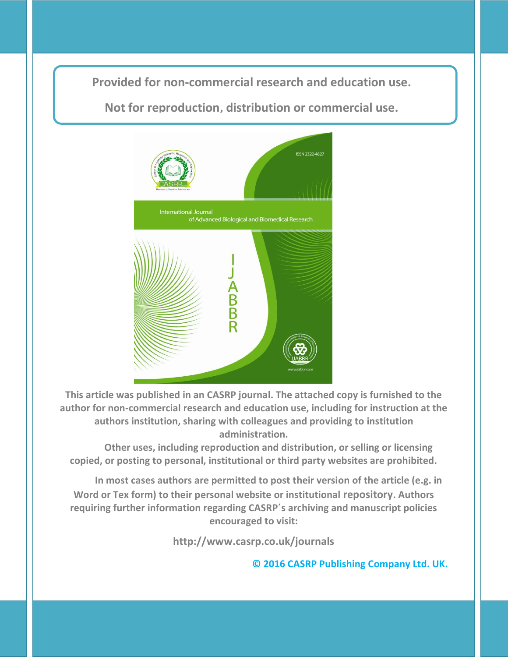**Provided for non-commercial research and education use. Provided for non-commercial research and education use.**

**Not for reproduction, distribution or commercial use.**



**This article was published in an CASRP journal. The attached copy is furnished to the author for non-commercial research and education use, including for instruction at the authors institution, sharing with colleagues and providing to institution administration.**

**Other uses, including reproduction and distribution, or selling or licensing copied, or posting to personal, institutional or third party websites are prohibited.**

**In most cases authors are permitted to post their version of the article (e.g. in Word or Tex form) to their personal website or institutional repository. Authors requiring further information regarding CASRP΄s archiving and manuscript policies encouraged to visit:**

**http://www.casrp.co.uk/journals**

**© 2016 CASRP Publishing Company Ltd. UK.**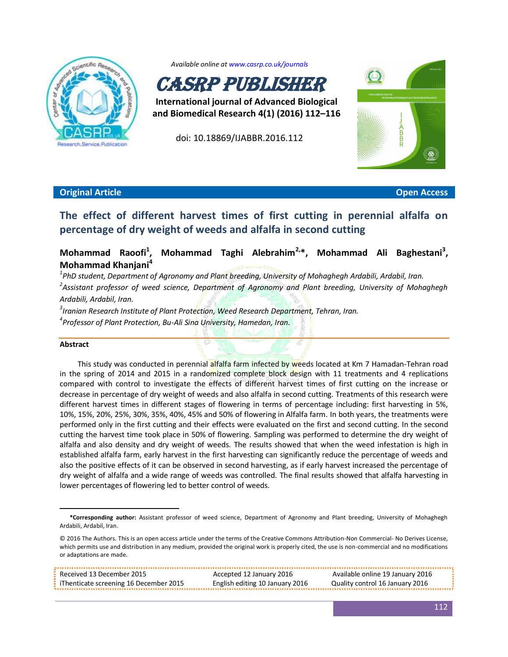

*Available online a[t www.casrp.co.uk/journals](http://www.casrp.co.uk/journals)* 



**International journal of Advanced Biological and Biomedical Research 4(1) (2016) 112–116**

doi: 10.18869/IJABBR.2016.112



## **Original Article Open Access**

# **The effect of different harvest times of first cutting in perennial alfalfa on percentage of dry weight of weeds and alfalfa in second cutting**

#### **Mohammad Raoofi<sup>1</sup> , Mohammad Taghi Alebrahim2,\*, Mohammad Ali Baghestani<sup>3</sup> , Mohammad Khanjani<sup>4</sup>**

*1 PhD student, Department of Agronomy and Plant breeding, University of Mohaghegh Ardabili, Ardabil, Iran. 2 Assistant professor of weed science, Department of Agronomy and Plant breeding, University of Mohaghegh Ardabili, Ardabil, Iran.*

*3 Iranian Research Institute of Plant Protection, Weed Research Department, Tehran, Iran.*

*4 Professor of Plant Protection, Bu-Ali Sina University, Hamedan, Iran.*

## **Abstract**

 $\overline{\phantom{a}}$ 

This study was conducted in perennial alfalfa farm infected by weeds located at Km 7 Hamadan-Tehran road in the spring of 2014 and 2015 in a randomized complete block design with 11 treatments and 4 replications compared with control to investigate the effects of different harvest times of first cutting on the increase or decrease in percentage of dry weight of weeds and also alfalfa in second cutting. Treatments of this research were different harvest times in different stages of flowering in terms of percentage including: first harvesting in 5%, 10%, 15%, 20%, 25%, 30%, 35%, 40%, 45% and 50% of flowering in Alfalfa farm. In both years, the treatments were performed only in the first cutting and their effects were evaluated on the first and second cutting. In the second cutting the harvest time took place in 50% of flowering. Sampling was performed to determine the dry weight of alfalfa and also density and dry weight of weeds. The results showed that when the weed infestation is high in established alfalfa farm, early harvest in the first harvesting can significantly reduce the percentage of weeds and also the positive effects of it can be observed in second harvesting, as if early harvest increased the percentage of dry weight of alfalfa and a wide range of weeds was controlled. The final results showed that alfalfa harvesting in lower percentages of flowering led to better control of weeds.

**<sup>\*</sup>Corresponding author:** Assistant professor of weed science, Department of Agronomy and Plant breeding, University of Mohaghegh Ardabili, Ardabil, Iran.

<sup>© 2016</sup> The Authors. This is an open access article under the terms of the Creative Commons Attribution-Non Commercial- No Derives License, which permits use and distribution in any medium, provided the original work is properly cited, the use is non-commercial and no modifications or adaptations are made.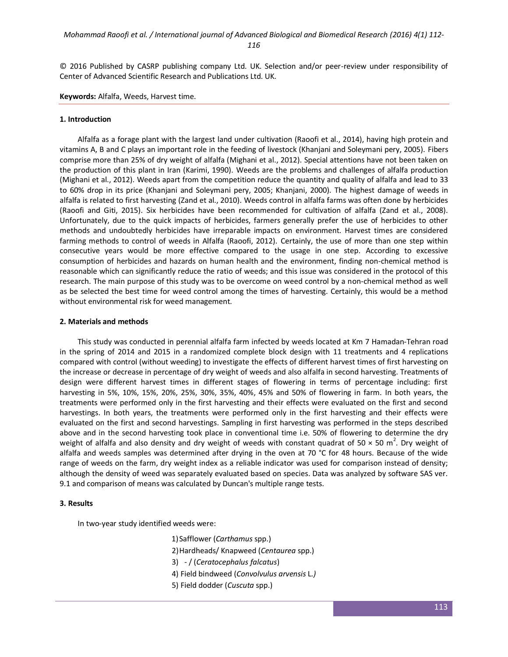© 2016 Published by CASRP publishing company Ltd. UK. Selection and/or peer-review under responsibility of Center of Advanced Scientific Research and Publications Ltd. UK.

**Keywords:** Alfalfa, Weeds, Harvest time.

#### **1. Introduction**

Alfalfa as a forage plant with the largest land under cultivation (Raoofi et al., 2014), having high protein and vitamins A, B and C plays an important role in the feeding of livestock (Khanjani and Soleymani pery, 2005). Fibers comprise more than 25% of dry weight of alfalfa (Mighani et al., 2012). Special attentions have not been taken on the production of this plant in Iran (Karimi, 1990). Weeds are the problems and challenges of alfalfa production (Mighani et al., 2012). Weeds apart from the competition reduce the quantity and quality of alfalfa and lead to 33 to 60% drop in its price (Khanjani and Soleymani pery, 2005; Khanjani, 2000). The highest damage of weeds in alfalfa is related to first harvesting (Zand et al., 2010). Weeds control in alfalfa farms was often done by herbicides (Raoofi and Giti, 2015). Six herbicides have been recommended for cultivation of alfalfa (Zand et al., 2008). Unfortunately, due to the quick impacts of herbicides, farmers generally prefer the use of herbicides to other methods and undoubtedly herbicides have irreparable impacts on environment. Harvest times are considered farming methods to control of weeds in Alfalfa (Raoofi, 2012). Certainly, the use of more than one step within consecutive years would be more effective compared to the usage in one step. According to excessive consumption of herbicides and hazards on human health and the environment, finding non-chemical method is reasonable which can significantly reduce the ratio of weeds; and this issue was considered in the protocol of this research. The main purpose of this study was to be overcome on weed control by a non-chemical method as well as be selected the best time for weed control among the times of harvesting. Certainly, this would be a method without environmental risk for weed management.

#### **2. Materials and methods**

This study was conducted in perennial alfalfa farm infected by weeds located at Km 7 Hamadan-Tehran road in the spring of 2014 and 2015 in a randomized complete block design with 11 treatments and 4 replications compared with control (without weeding) to investigate the effects of different harvest times of first harvesting on the increase or decrease in percentage of dry weight of weeds and also alfalfa in second harvesting. Treatments of design were different harvest times in different stages of flowering in terms of percentage including: first harvesting in 5%, 10%, 15%, 20%, 25%, 30%, 35%, 40%, 45% and 50% of flowering in farm. In both years, the treatments were performed only in the first harvesting and their effects were evaluated on the first and second harvestings. In both years, the treatments were performed only in the first harvesting and their effects were evaluated on the first and second harvestings. Sampling in first harvesting was performed in the steps described above and in the second harvesting took place in conventional time i.e. 50% of flowering to determine the dry weight of alfalfa and also density and dry weight of weeds with constant quadrat of 50  $\times$  50 m<sup>2</sup>. Dry weight of alfalfa and weeds samples was determined after drying in the oven at 70 °C for 48 hours. Because of the wide range of weeds on the farm, dry weight index as a reliable indicator was used for comparison instead of density; although the density of weed was separately evaluated based on species. Data was analyzed by software SAS ver. 9.1 and comparison of means was calculated by Duncan's multiple range tests.

#### **3. Results**

In two-year study identified weeds were:

1)Safflower (*Carthamus* spp.)

2)Hardheads/ Knapweed (*Centaurea* spp.)

- 3) / (*Ceratocephalus falcatus*)
- 4) Field bindweed (*Convolvulus arvensis* L*.)*
- 5) Field dodder (*Cuscuta* spp.)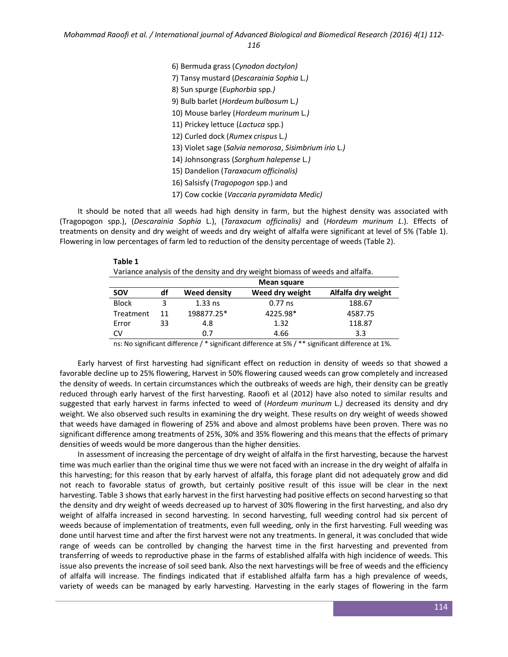*116*

| 6) Bermuda grass (Cynodon doctylon)                   |
|-------------------------------------------------------|
| 7) Tansy mustard (Descarainia Sophia L.)              |
| 8) Sun spurge ( <i>Euphorbia</i> spp.)                |
| 9) Bulb barlet (Hordeum bulbosum L.)                  |
| 10) Mouse barley (Hordeum murinum L.)                 |
| 11) Prickey lettuce (Lactuca spp.)                    |
| 12) Curled dock (Rumex crispus L.)                    |
| 13) Violet sage (Salvia nemorosa, Sisimbrium irio L.) |
| 14) Johnsongrass (Sorghum halepense L.)               |
| 15) Dandelion (Taraxacum officinalis)                 |
| 16) Salsisfy (Tragopogon spp.) and                    |
| 17) Cow cockie (Vaccaria pyramidata Medic)            |
|                                                       |

It should be noted that all weeds had high density in farm, but the highest density was associated with (Tragopogon spp.), (*Descarainia Sophia* L.), (*Taraxacum officinalis)* and (*Hordeum murinum L*.). Effects of treatments on density and dry weight of weeds and dry weight of alfalfa were significant at level of 5% (Table 1). Flowering in low percentages of farm led to reduction of the density percentage of weeds (Table 2).

| e e<br>×<br>۰,<br>۰. |  |
|----------------------|--|
|----------------------|--|

Variance analysis of the density and dry weight biomass of weeds and alfalfa.

|              |    |                     | Mean square     |                    |
|--------------|----|---------------------|-----------------|--------------------|
| <b>SOV</b>   | df | <b>Weed density</b> | Weed dry weight | Alfalfa dry weight |
| <b>Block</b> |    | $1.33$ ns           | $0.77$ ns       | 188.67             |
| Treatment    | 11 | 198877.25*          | 4225.98*        | 4587.75            |
| Error        | 33 | 4.8                 | 1.32            | 118.87             |
| CV           |    | 0.7                 | 4.66            | 3.3                |

ns: No significant difference / \* significant difference at 5% / \*\* significant difference at 1%.

Early harvest of first harvesting had significant effect on reduction in density of weeds so that showed a favorable decline up to 25% flowering, Harvest in 50% flowering caused weeds can grow completely and increased the density of weeds. In certain circumstances which the outbreaks of weeds are high, their density can be greatly reduced through early harvest of the first harvesting. Raoofi et al (2012) have also noted to similar results and suggested that early harvest in farms infected to weed of (*Hordeum murinum* L*.)* decreased its density and dry weight. We also observed such results in examining the dry weight. These results on dry weight of weeds showed that weeds have damaged in flowering of 25% and above and almost problems have been proven. There was no significant difference among treatments of 25%, 30% and 35% flowering and this means that the effects of primary densities of weeds would be more dangerous than the higher densities.

In assessment of increasing the percentage of dry weight of alfalfa in the first harvesting, because the harvest time was much earlier than the original time thus we were not faced with an increase in the dry weight of alfalfa in this harvesting; for this reason that by early harvest of alfalfa, this forage plant did not adequately grow and did not reach to favorable status of growth, but certainly positive result of this issue will be clear in the next harvesting. Table 3 shows that early harvest in the first harvesting had positive effects on second harvesting so that the density and dry weight of weeds decreased up to harvest of 30% flowering in the first harvesting, and also dry weight of alfalfa increased in second harvesting. In second harvesting, full weeding control had six percent of weeds because of implementation of treatments, even full weeding, only in the first harvesting. Full weeding was done until harvest time and after the first harvest were not any treatments. In general, it was concluded that wide range of weeds can be controlled by changing the harvest time in the first harvesting and prevented from transferring of weeds to reproductive phase in the farms of established alfalfa with high incidence of weeds. This issue also prevents the increase of soil seed bank. Also the next harvestings will be free of weeds and the efficiency of alfalfa will increase. The findings indicated that if established alfalfa farm has a high prevalence of weeds, variety of weeds can be managed by early harvesting. Harvesting in the early stages of flowering in the farm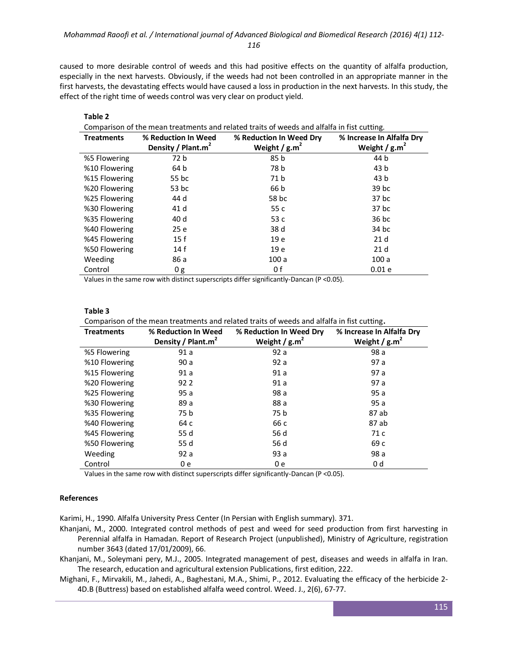caused to more desirable control of weeds and this had positive effects on the quantity of alfalfa production, especially in the next harvests. Obviously, if the weeds had not been controlled in an appropriate manner in the first harvests, the devastating effects would have caused a loss in production in the next harvests. In this study, the effect of the right time of weeds control was very clear on product yield.

| Comparison of the mean treatments and related traits of weeds and alfalfa in fist cutting. |                                                       |                                            |                                               |
|--------------------------------------------------------------------------------------------|-------------------------------------------------------|--------------------------------------------|-----------------------------------------------|
| <b>Treatments</b>                                                                          | % Reduction In Weed<br>Density / Plant.m <sup>2</sup> | % Reduction In Weed Dry<br>Weight / $g.m2$ | % Increase In Alfalfa Dry<br>Weight / $g.m^2$ |
| %5 Flowering                                                                               | 72 b                                                  | 85 b                                       | 44 b                                          |
| %10 Flowering                                                                              | 64 b                                                  | 78 b                                       | 43 b                                          |
| %15 Flowering                                                                              | 55 bc                                                 | 71 <sub>b</sub>                            | 43 b                                          |
| %20 Flowering                                                                              | 53 bc                                                 | 66 b                                       | 39 bc                                         |
| %25 Flowering                                                                              | 44 d                                                  | 58 bc                                      | 37 bc                                         |
| %30 Flowering                                                                              | 41 d                                                  | 55 c                                       | 37 bc                                         |
| %35 Flowering                                                                              | 40 d                                                  | 53 c                                       | $36$ bc                                       |
| %40 Flowering                                                                              | 25 e                                                  | 38 d                                       | 34 bc                                         |
| %45 Flowering                                                                              | 15f                                                   | 19 e                                       | 21 <sub>d</sub>                               |
| %50 Flowering                                                                              | 14f                                                   | 19 e                                       | 21 <sub>d</sub>                               |
| Weeding                                                                                    | 86 a                                                  | 100a                                       | 100a                                          |
| Control                                                                                    | 0g                                                    | 0 f                                        | 0.01e                                         |

Values in the same row with distinct superscripts differ significantly-Dancan (P <0.05).

### **Table 3**

**Table 2**

Comparison of the mean treatments and related traits of weeds and alfalfa in fist cutting**.**

| <b>Treatments</b> | % Reduction In Weed            | % Reduction In Weed Dry | % Increase In Alfalfa Dry |
|-------------------|--------------------------------|-------------------------|---------------------------|
|                   | Density / Plant.m <sup>2</sup> | Weight / $g.m^2$        | Weight / $\text{g.m}^2$   |
| %5 Flowering      | 91a                            | 92a                     | 98 a                      |
| %10 Flowering     | 90a                            | 92a                     | 97 a                      |
| %15 Flowering     | 91 a                           | 91a                     | 97 a                      |
| %20 Flowering     | 92 2                           | 91a                     | 97 a                      |
| %25 Flowering     | 95a                            | 98 a                    | 95a                       |
| %30 Flowering     | 89 a                           | 88 a                    | 95a                       |
| %35 Flowering     | 75 b                           | 75 b                    | 87 ab                     |
| %40 Flowering     | 64 c                           | 66 c                    | 87 ab                     |
| %45 Flowering     | 55 d                           | 56 d                    | 71 c                      |
| %50 Flowering     | 55 d                           | 56 d                    | 69 c                      |
| Weeding           | 92a                            | 93a                     | 98 a                      |
| Control           | 0 e                            | 0 e                     | 0 d                       |

Values in the same row with distinct superscripts differ significantly-Dancan (P <0.05).

### **References**

Karimi, H., 1990. Alfalfa University Press Center (In Persian with English summary). 371.

- Khanjani, M., 2000. Integrated control methods of pest and weed for seed production from first harvesting in Perennial alfalfa in Hamadan. Report of Research Project (unpublished), Ministry of Agriculture, registration number 3643 (dated 17/01/2009), 66.
- Khanjani, M., Soleymani pery, M.J., 2005. Integrated management of pest, diseases and weeds in alfalfa in Iran. The research, education and agricultural extension Publications, first edition, 222.
- Mighani, F., Mirvakili, M., Jahedi, A., Baghestani, M.A., Shimi, P., 2012. Evaluating the efficacy of the herbicide 2- 4D.B (Buttress) based on established alfalfa weed control. Weed. J., 2(6), 67-77.